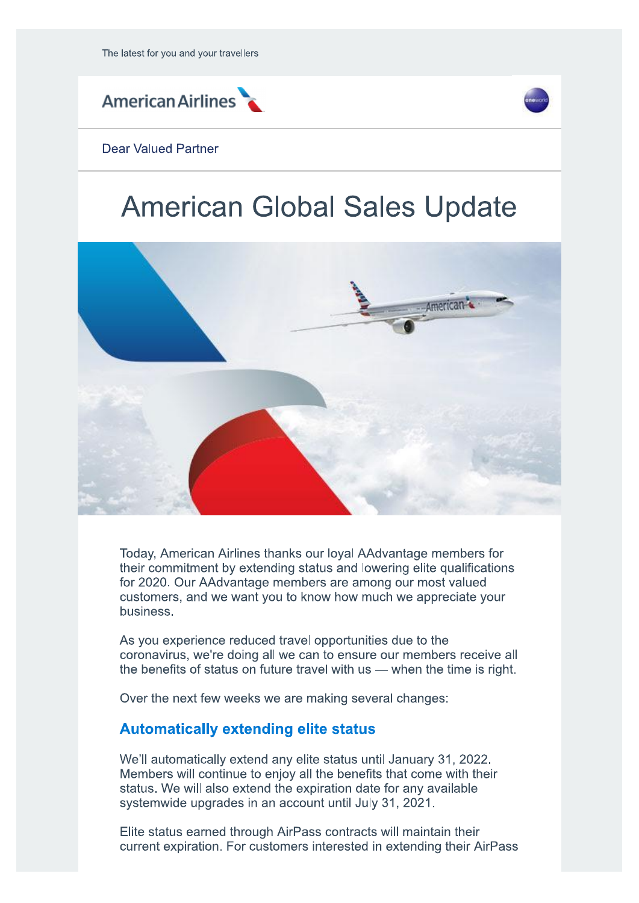



#### Dear Valued Partner

# **American Global Sales Update**



Today, American Airlines thanks our loyal AAdvantage members for their commitment by extending status and lowering elite qualifications for 2020. Our AAdvantage members are among our most valued customers, and we want you to know how much we appreciate your business.

As you experience reduced travel opportunities due to the coronavirus, we're doing all we can to ensure our members receive all the benefits of status on future travel with  $us$  — when the time is right.

Over the next few weeks we are making several changes:

## **Automatically extending elite status**

We'll automatically extend any elite status until January 31, 2022. Members will continue to enjoy all the benefits that come with their status. We will also extend the expiration date for any available systemwide upgrades in an account until July 31, 2021.

Elite status earned through AirPass contracts will maintain their current expiration. For customers interested in extending their AirPass